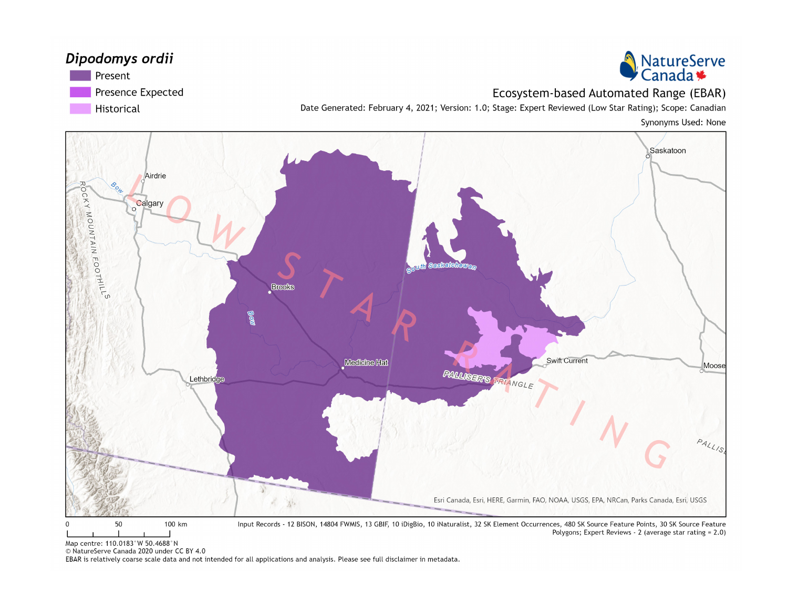#### Dipodomys ordii





#### Ecosystem-based Automated Range (EBAR)

Date Generated: February 4, 2021; Version: 1.0; Stage: Expert Reviewed (Low Star Rating); Scope: Canadian Synonyms Used: None



Map centre: 110.0183°W 50.4688°N

© NatureServe Canada 2020 under CC BY 4.0

EBAR is relatively coarse scale data and not intended for all applications and analysis. Please see full disclaimer in metadata.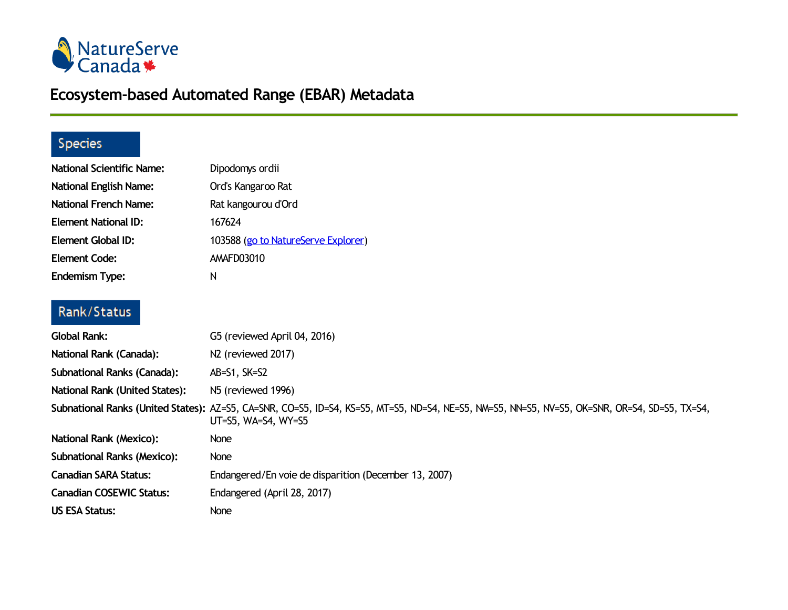

# **Ecosystem-based Automated Range (EBAR) Metadata**

### Species

| <b>National Scientific Name:</b> | Dipodomys ordii                                                                                                                                                      |
|----------------------------------|----------------------------------------------------------------------------------------------------------------------------------------------------------------------|
| <b>National English Name:</b>    | Ord's Kangaroo Rat                                                                                                                                                   |
| <b>National French Name:</b>     | Rat kangourou d'Ord                                                                                                                                                  |
| <b>Element National ID:</b>      | 167624                                                                                                                                                               |
| Element Global ID:               | 103588 (go to NatureServe Explorer)                                                                                                                                  |
| <b>Element Code:</b>             | AMAFD03010                                                                                                                                                           |
| <b>Endemism Type:</b>            | N                                                                                                                                                                    |
| Rank/Status                      |                                                                                                                                                                      |
| Global Rank:                     | G5 (reviewed April 04, 2016)                                                                                                                                         |
| National Rank (Canada):          | N <sub>2</sub> (reviewed 2017)                                                                                                                                       |
| Subnational Ranks (Canada):      | $AB = S1, SK = S2$                                                                                                                                                   |
| National Rank (United States):   | N5 (reviewed 1996)                                                                                                                                                   |
|                                  | Subnational Ranks (United States): AZ=S5, CA=SNR, CO=S5, ID=S4, KS=S5, MT=S5, ND=S4, NE=S5, NM=S5, NN=S5, NV=S5, OK=SNR, OR=S4, SD=S5, TX=S4,<br>UT=S5, WA=S4, WY=S5 |
| National Rank (Mexico):          | <b>None</b>                                                                                                                                                          |
| Subnational Ranks (Mexico):      | None                                                                                                                                                                 |
| <b>Canadian SARA Status:</b>     | Endangered/En voie de disparition (December 13, 2007)                                                                                                                |
| <b>Canadian COSEWIC Status:</b>  | Endangered (April 28, 2017)                                                                                                                                          |
| <b>US ESA Status:</b>            | <b>None</b>                                                                                                                                                          |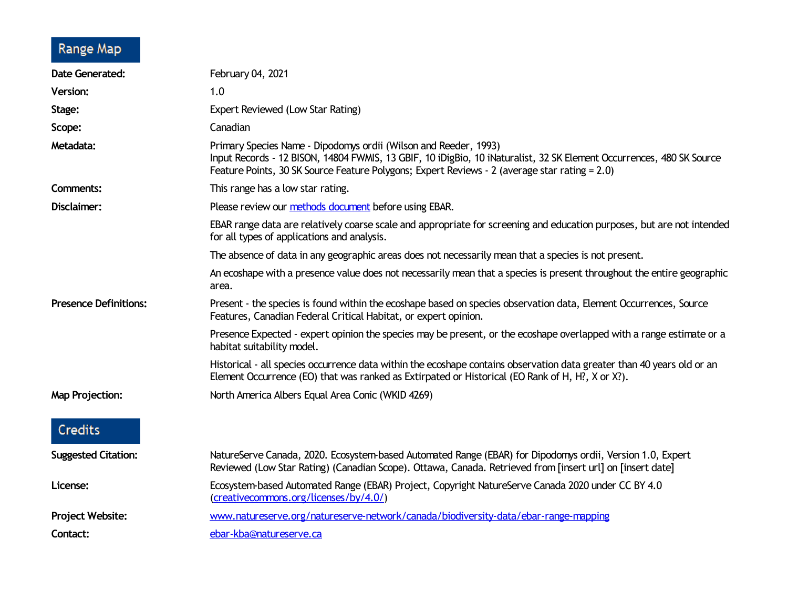# Range Map

| <b>Date Generated:</b>       | February 04, 2021                                                                                                                                                                                                                                                                         |
|------------------------------|-------------------------------------------------------------------------------------------------------------------------------------------------------------------------------------------------------------------------------------------------------------------------------------------|
| <b>Version:</b>              | 1.0                                                                                                                                                                                                                                                                                       |
| Stage:                       | Expert Reviewed (Low Star Rating)                                                                                                                                                                                                                                                         |
| Scope:                       | Canadian                                                                                                                                                                                                                                                                                  |
| Metadata:                    | Primary Species Name - Dipodomys ordii (Wilson and Reeder, 1993)<br>Input Records - 12 BISON, 14804 FWMIS, 13 GBIF, 10 iDigBio, 10 iNaturalist, 32 SK Element Occurrences, 480 SK Source<br>Feature Points, 30 SK Source Feature Polygons; Expert Reviews - 2 (average star rating = 2.0) |
| <b>Comments:</b>             | This range has a low star rating.                                                                                                                                                                                                                                                         |
| Disclaimer:                  | Please review our methods document before using EBAR.                                                                                                                                                                                                                                     |
|                              | EBAR range data are relatively coarse scale and appropriate for screening and education purposes, but are not intended<br>for all types of applications and analysis.                                                                                                                     |
|                              | The absence of data in any geographic areas does not necessarily mean that a species is not present.                                                                                                                                                                                      |
|                              | An ecoshape with a presence value does not necessarily mean that a species is present throughout the entire geographic<br>area.                                                                                                                                                           |
| <b>Presence Definitions:</b> | Present - the species is found within the ecoshape based on species observation data, Element Occurrences, Source<br>Features, Canadian Federal Critical Habitat, or expert opinion.                                                                                                      |
|                              | Presence Expected - expert opinion the species may be present, or the ecoshape overlapped with a range estimate or a<br>habitat suitability model.                                                                                                                                        |
|                              | Historical - all species occurrence data within the ecoshape contains observation data greater than 40 years old or an<br>Element Occurrence (EO) that was ranked as Extirpated or Historical (EO Rank of H, H?, X or X?).                                                                |
| <b>Map Projection:</b>       | North America Albers Equal Area Conic (WKID 4269)                                                                                                                                                                                                                                         |
| Credits                      |                                                                                                                                                                                                                                                                                           |
| <b>Suggested Citation:</b>   | NatureServe Canada, 2020. Ecosystem-based Automated Range (EBAR) for Dipodomys ordii, Version 1.0, Expert<br>Reviewed (Low Star Rating) (Canadian Scope). Ottawa, Canada. Retrieved from [insert url] on [insert date]                                                                    |
| License:                     | Ecosystem-based Automated Range (EBAR) Project, Copyright NatureServe Canada 2020 under CC BY 4.0<br>(creativecommons.org/licenses/by/4.0/)                                                                                                                                               |
| Project Website:             | www.natureserve.org/natureserve-network/canada/biodiversity-data/ebar-range-mapping                                                                                                                                                                                                       |
| Contact:                     | ebar-kba@natureserve.ca                                                                                                                                                                                                                                                                   |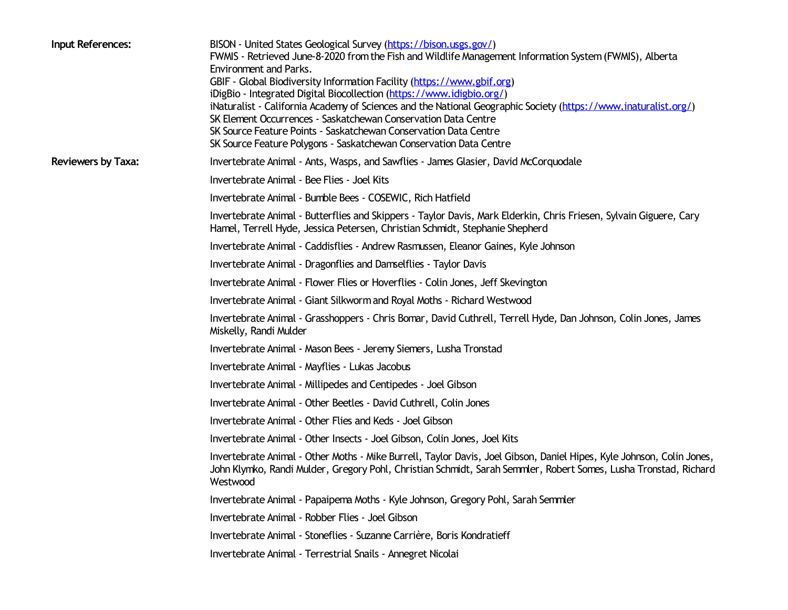| Input References:         | BISON - United States Geological Survey (https://bison.usgs.gov/)<br>FWMIS - Retrieved June-8-2020 from the Fish and Wildlife Management Information System (FWMIS), Alberta<br>Environment and Parks.<br>GBIF - Global Biodiversity Information Facility (https://www.gbif.org)<br>iDigBio - Integrated Digital Biocollection (https://www.idigbio.org/)<br>iNaturalist - California Academy of Sciences and the National Geographic Society (https://www.inaturalist.org/)<br>SK Element Occurrences - Saskatchewan Conservation Data Centre<br>SK Source Feature Points - Saskatchewan Conservation Data Centre<br>SK Source Feature Polygons - Saskatchewan Conservation Data Centre |
|---------------------------|------------------------------------------------------------------------------------------------------------------------------------------------------------------------------------------------------------------------------------------------------------------------------------------------------------------------------------------------------------------------------------------------------------------------------------------------------------------------------------------------------------------------------------------------------------------------------------------------------------------------------------------------------------------------------------------|
| <b>Reviewers by Taxa:</b> | Invertebrate Animal - Ants, Wasps, and Sawflies - James Glasier, David McCorquodale                                                                                                                                                                                                                                                                                                                                                                                                                                                                                                                                                                                                      |
|                           | Invertebrate Animal - Bee Flies - Joel Kits                                                                                                                                                                                                                                                                                                                                                                                                                                                                                                                                                                                                                                              |
|                           | Invertebrate Animal - Bumble Bees - COSEWIC, Rich Hatfield                                                                                                                                                                                                                                                                                                                                                                                                                                                                                                                                                                                                                               |
|                           | Invertebrate Animal - Butterflies and Skippers - Taylor Davis, Mark Elderkin, Chris Friesen, Sylvain Giguere, Cary<br>Hamel, Terrell Hyde, Jessica Petersen, Christian Schmidt, Stephanie Shepherd                                                                                                                                                                                                                                                                                                                                                                                                                                                                                       |
|                           | Invertebrate Animal - Caddisflies - Andrew Rasmussen, Eleanor Gaines, Kyle Johnson                                                                                                                                                                                                                                                                                                                                                                                                                                                                                                                                                                                                       |
|                           | Invertebrate Animal - Dragonflies and Damselflies - Taylor Davis                                                                                                                                                                                                                                                                                                                                                                                                                                                                                                                                                                                                                         |
|                           | Invertebrate Animal - Flower Flies or Hoverflies - Colin Jones, Jeff Skevington                                                                                                                                                                                                                                                                                                                                                                                                                                                                                                                                                                                                          |
|                           | Invertebrate Animal - Giant Silkworm and Royal Moths - Richard Westwood                                                                                                                                                                                                                                                                                                                                                                                                                                                                                                                                                                                                                  |
|                           | Invertebrate Animal - Grasshoppers - Chris Bomar, David Cuthrell, Terrell Hyde, Dan Johnson, Colin Jones, James<br>Miskelly, Randi Mulder                                                                                                                                                                                                                                                                                                                                                                                                                                                                                                                                                |
|                           | Invertebrate Animal - Mason Bees - Jeremy Siemers, Lusha Tronstad                                                                                                                                                                                                                                                                                                                                                                                                                                                                                                                                                                                                                        |
|                           | Invertebrate Animal - Mayflies - Lukas Jacobus                                                                                                                                                                                                                                                                                                                                                                                                                                                                                                                                                                                                                                           |
|                           | Invertebrate Animal - Millipedes and Centipedes - Joel Gibson                                                                                                                                                                                                                                                                                                                                                                                                                                                                                                                                                                                                                            |
|                           | Invertebrate Animal - Other Beetles - David Cuthrell, Colin Jones                                                                                                                                                                                                                                                                                                                                                                                                                                                                                                                                                                                                                        |
|                           | Invertebrate Animal - Other Flies and Keds - Joel Gibson                                                                                                                                                                                                                                                                                                                                                                                                                                                                                                                                                                                                                                 |
|                           | Invertebrate Animal - Other Insects - Joel Gibson, Colin Jones, Joel Kits                                                                                                                                                                                                                                                                                                                                                                                                                                                                                                                                                                                                                |
|                           | Invertebrate Animal - Other Moths - Mike Burrell, Taylor Davis, Joel Gibson, Daniel Hipes, Kyle Johnson, Colin Jones,<br>John Klymko, Randi Mulder, Gregory Pohl, Christian Schmidt, Sarah Semmler, Robert Somes, Lusha Tronstad, Richard<br>Westwood                                                                                                                                                                                                                                                                                                                                                                                                                                    |
|                           | Invertebrate Animal - Papaipema Moths - Kyle Johnson, Gregory Pohl, Sarah Semmler                                                                                                                                                                                                                                                                                                                                                                                                                                                                                                                                                                                                        |
|                           | Invertebrate Animal - Robber Flies - Joel Gibson                                                                                                                                                                                                                                                                                                                                                                                                                                                                                                                                                                                                                                         |
|                           | Invertebrate Animal - Stoneflies - Suzanne Carrière, Boris Kondratieff                                                                                                                                                                                                                                                                                                                                                                                                                                                                                                                                                                                                                   |
|                           | Invertebrate Animal - Terrestrial Snails - Annegret Nicolai                                                                                                                                                                                                                                                                                                                                                                                                                                                                                                                                                                                                                              |